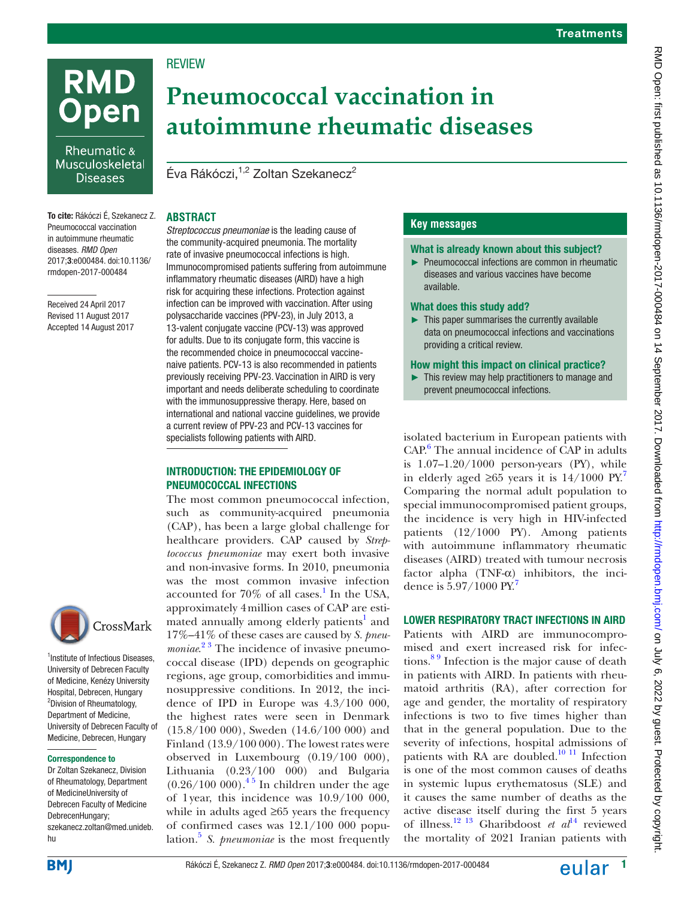

Rheumatic & Musculoskeletal **Diseases** 

To cite: Rákóczi É, Szekanecz Z. Pneumococcal vaccination in autoimmune rheumatic diseases. *RMD Open* 2017;3:e000484. doi:10.1136/ rmdopen-2017-000484

Received 24 April 2017 Revised 11 August 2017 Accepted 14 August 2017



<sup>1</sup>Institute of Infectious Diseases, University of Debrecen Faculty of Medicine, Kenézy University Hospital, Debrecen, Hungary 2 Division of Rheumatology, Department of Medicine, University of Debrecen Faculty of Medicine, Debrecen, Hungary

#### Correspondence to

Dr Zoltan Szekanecz, Division of Rheumatology, Department of MedicineUniversity of Debrecen Faculty of Medicine DebrecenHungary; szekanecz.zoltan@med.unideb. hu

# **RFVIFW**

# **Pneumococcal vaccination in autoimmune rheumatic diseases**

Éva Rákóczi.<sup>1,2</sup> Zoltan Szekanecz<sup>2</sup>

#### **Abstract**

*Streptococcus pneumoniae* is the leading cause of the community-acquired pneumonia. The mortality rate of invasive pneumococcal infections is high. Immunocompromised patients suffering from autoimmune inflammatory rheumatic diseases (AIRD) have a high risk for acquiring these infections. Protection against infection can be improved with vaccination. After using polysaccharide vaccines (PPV-23), in July 2013, a 13-valent conjugate vaccine (PCV-13) was approved for adults. Due to its conjugate form, this vaccine is the recommended choice in pneumococcal vaccinenaive patients. PCV-13 is also recommended in patients previously receiving PPV-23. Vaccination in AIRD is very important and needs deliberate scheduling to coordinate with the immunosuppressive therapy. Here, based on international and national vaccine guidelines, we provide a current review of PPV-23 and PCV-13 vaccines for specialists following patients with AIRD.

#### Introduction: the epidemiology of pneumococcal infections

The most common pneumococcal infection, such as community-acquired pneumonia (CAP), has been a large global challenge for healthcare providers. CAP caused by *Streptococcus pneumoniae* may exert both invasive and non-invasive forms. In 2010, pneumonia was the most common invasive infection accounted for  $70\%$  of all cases.<sup>[1](#page-5-0)</sup> In the USA, approximately 4million cases of CAP are esti $m$ ated annually among elderly patients<sup>1</sup> and 17%–41% of these cases are caused by *S. pneumoniae*.<sup>23</sup> The incidence of invasive pneumococcal disease (IPD) depends on geographic regions, age group, comorbidities and immunosuppressive conditions. In 2012, the incidence of IPD in Europe was 4.3/100 000, the highest rates were seen in Denmark (15.8/100 000), Sweden (14.6/100 000) and Finland (13.9/100 000). The lowest rates were observed in Luxembourg (0.19/100 000), Lithuania (0.23/100 000) and Bulgaria  $(0.26/100 000).$ <sup>45</sup> In children under the age of 1year, this incidence was 10.9/100 000, while in adults aged ≥65 years the frequency of confirmed cases was 12.1/100 000 population.[5](#page-5-3) *S. pneumoniae* is the most frequently

# **Key messages**

#### What is already known about this subject?

► Pneumococcal infections are common in rheumatic diseases and various vaccines have become available.

#### What does this study add?

► This paper summarises the currently available data on pneumococcal infections and vaccinations providing a critical review.

#### How might this impact on clinical practice?

 $\blacktriangleright$  This review may help practitioners to manage and prevent pneumococcal infections.

isolated bacterium in European patients with CAP.<sup>[6](#page-5-4)</sup> The annual incidence of CAP in adults is  $1.07-1.20/1000$  person-years (PY), while in elderly aged ≥65 years it is  $14/1000 \text{ PY.}^7$  $14/1000 \text{ PY.}^7$ Comparing the normal adult population to special immunocompromised patient groups, the incidence is very high in HIV-infected patients (12/1000 PY). Among patients with autoimmune inflammatory rheumatic diseases (AIRD) treated with tumour necrosis factor alpha  $(TNF- $\alpha$ )$  inhibitors, the inci-dence is 5.9[7](#page-5-5)/1000 PY.<sup>7</sup>

#### Lower respiratory tract infections in AIRD

Patients with AIRD are immunocompromised and exert increased risk for infections.<sup>89</sup> Infection is the major cause of death in patients with AIRD. In patients with rheumatoid arthritis (RA), after correction for age and gender, the mortality of respiratory infections is two to five times higher than that in the general population. Due to the severity of infections, hospital admissions of patients with RA are doubled.<sup>10 11</sup> Infection is one of the most common causes of deaths in systemic lupus erythematosus (SLE) and it causes the same number of deaths as the active disease itself during the first 5 years of illness.[12 13](#page-5-8) Gharibdoost *et al*[14](#page-5-9) reviewed the mortality of 2021 Iranian patients with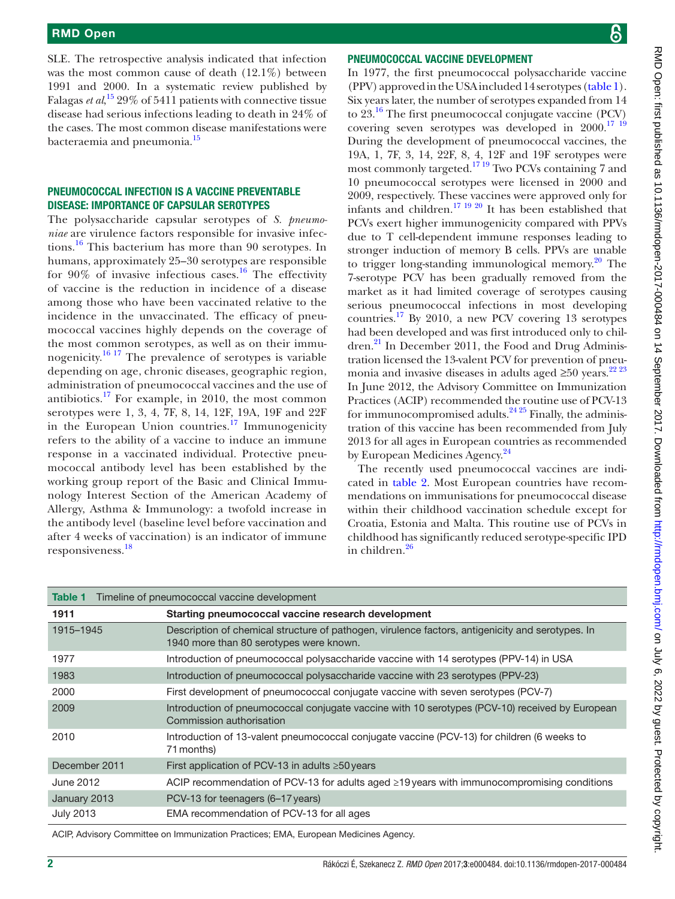SLE. The retrospective analysis indicated that infection was the most common cause of death (12.1%) between 1991 and 2000. In a systematic review published by Falagas *et al*,<sup>[15](#page-5-10)</sup> 29% of 5411 patients with connective tissue disease had serious infections leading to death in 24% of the cases. The most common disease manifestations were bacteraemia and pneumonia.<sup>15</sup>

#### Pneumococcal infection is a vaccine preventable disease: importance of capsular serotypes

The polysaccharide capsular serotypes of *S. pneumoniae* are virulence factors responsible for invasive infec-tions.<sup>[16](#page-5-11)</sup> This bacterium has more than 90 serotypes. In humans, approximately 25–30 serotypes are responsible for  $90\%$  of invasive infectious cases.<sup>[16](#page-5-11)</sup> The effectivity of vaccine is the reduction in incidence of a disease among those who have been vaccinated relative to the incidence in the unvaccinated. The efficacy of pneumococcal vaccines highly depends on the coverage of the most common serotypes, as well as on their immu-nogenicity.<sup>[16 17](#page-5-11)</sup> The prevalence of serotypes is variable depending on age, chronic diseases, geographic region, administration of pneumococcal vaccines and the use of antibiotics.[17](#page-5-12) For example, in 2010, the most common serotypes were 1, 3, 4, 7F, 8, 14, 12F, 19A, 19F and 22F in the European Union countries.<sup>17</sup> Immunogenicity refers to the ability of a vaccine to induce an immune response in a vaccinated individual. Protective pneumococcal antibody level has been established by the working group report of the Basic and Clinical Immunology Interest Section of the American Academy of Allergy, Asthma & Immunology: a twofold increase in the antibody level (baseline level before vaccination and after 4 weeks of vaccination) is an indicator of immune responsiveness.[18](#page-5-13)

#### Pneumococcal vaccine development

In 1977, the first pneumococcal polysaccharide vaccine (PPV) approved in the USA included 14 serotypes ([table1](#page-1-0)). Six years later, the number of serotypes expanded from 14 to  $23^{16}$  The first pneumococcal conjugate vaccine (PCV) covering seven serotypes was developed in 2000.<sup>17 19</sup> During the development of pneumococcal vaccines, the 19A, 1, 7F, 3, 14, 22F, 8, 4, 12F and 19F serotypes were most commonly targeted.[17 19](#page-5-12) Two PCVs containing 7 and 10 pneumococcal serotypes were licensed in 2000 and 2009, respectively. These vaccines were approved only for infants and children.[17 19 20](#page-5-12) It has been established that PCVs exert higher immunogenicity compared with PPVs due to T cell-dependent immune responses leading to stronger induction of memory B cells. PPVs are unable to trigger long-standing immunological memory. $^{20}$  The 7-serotype PCV has been gradually removed from the market as it had limited coverage of serotypes causing serious pneumococcal infections in most developing countries.[17](#page-5-12) By 2010, a new PCV covering 13 serotypes had been developed and was first introduced only to children. $^{21}$  In December 2011, the Food and Drug Administration licensed the 13-valent PCV for prevention of pneumonia and invasive diseases in adults aged ≥50 years.<sup>22 23</sup> In June 2012, the Advisory Committee on Immunization Practices (ACIP) recommended the routine use of PCV-13 for immunocompromised adults. $24\frac{24\frac{25}{25}}{1}$  Finally, the administration of this vaccine has been recommended from July 2013 for all ages in European countries as recommended by European Medicines Agency.<sup>24</sup>

The recently used pneumococcal vaccines are indicated in [table](#page-2-0) 2. Most European countries have recommendations on immunisations for pneumococcal disease within their childhood vaccination schedule except for Croatia, Estonia and Malta. This routine use of PCVs in childhood has significantly reduced serotype-specific IPD in children.<sup>[26](#page-6-3)</sup>

<span id="page-1-0"></span>

| Timeline of pneumococcal vaccine development<br>Table 1 |                                                                                                                                             |  |  |  |
|---------------------------------------------------------|---------------------------------------------------------------------------------------------------------------------------------------------|--|--|--|
| 1911                                                    | Starting pneumococcal vaccine research development                                                                                          |  |  |  |
| 1915-1945                                               | Description of chemical structure of pathogen, virulence factors, antigenicity and serotypes. In<br>1940 more than 80 serotypes were known. |  |  |  |
| 1977                                                    | Introduction of pneumococcal polysaccharide vaccine with 14 serotypes (PPV-14) in USA                                                       |  |  |  |
| 1983                                                    | Introduction of pneumococcal polysaccharide vaccine with 23 serotypes (PPV-23)                                                              |  |  |  |
| 2000                                                    | First development of pneumococcal conjugate vaccine with seven serotypes (PCV-7)                                                            |  |  |  |
| 2009                                                    | Introduction of pneumococcal conjugate vaccine with 10 serotypes (PCV-10) received by European<br>Commission authorisation                  |  |  |  |
| 2010                                                    | Introduction of 13-valent pneumococcal conjugate vaccine (PCV-13) for children (6 weeks to<br>71 months)                                    |  |  |  |
| December 2011                                           | First application of PCV-13 in adults $\geq 50$ years                                                                                       |  |  |  |
| June 2012                                               | ACIP recommendation of PCV-13 for adults aged $\geq$ 19 years with immunocompromising conditions                                            |  |  |  |
| January 2013                                            | PCV-13 for teenagers (6-17 years)                                                                                                           |  |  |  |
| <b>July 2013</b>                                        | EMA recommendation of PCV-13 for all ages                                                                                                   |  |  |  |

ACIP, Advisory Committee on Immunization Practices; EMA, European Medicines Agency.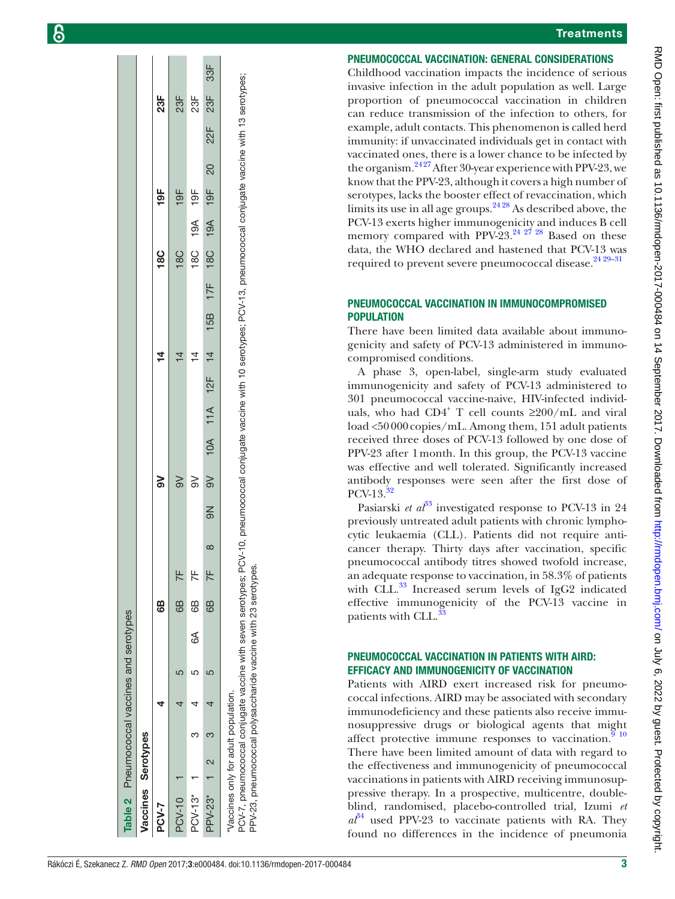#### **Treatments**

#### Pneumococcal vaccination: general considerations

Childhood vaccination impacts the incidence of serious invasive infection in the adult population as well. Large proportion of pneumococcal vaccination in children can reduce transmission of the infection to others, for example, adult contacts. This phenomenon is called herd immunity: if unvaccinated individuals get in contact with vaccinated ones, there is a lower chance to be infected by the organism. $2427$  After 30-year experience with PPV-23, we know that the PPV-23, although it covers a high number of serotypes, lacks the booster effect of revaccination, which limits its use in all age groups. $2428$  As described above, the PCV-13 exerts higher immunogenicity and induces B cell memory compared with PPV-23. $24$   $27$   $28$  Based on these data, the WHO declared and hastened that PCV-13 was required to prevent severe pneumococcal disease.<sup>[24 29–31](#page-6-2)</sup>

#### Pneumococcal vaccination in immunocompromised **POPULATION**

There have been limited data available about immunogenicity and safety of PCV-13 administered in immunocompromised conditions.

A phase 3, open-label, single-arm study evaluated immunogenicity and safety of PCV-13 administered to 301 pneumococcal vaccine-naive, HIV-infected individuals, who had CD4<sup>+</sup> T cell counts  $\geq$ 200/mL and viral load <50000copies/mL. Among them, 151 adult patients received three doses of PCV-13 followed by one dose of PPV-23 after 1month. In this group, the PCV-13 vaccine was effective and well tolerated. Significantly increased antibody responses were seen after the first dose of PCV-13.[32](#page-6-4)

Pasiarski *et al*<sup>[33](#page-6-5)</sup> investigated response to PCV-13 in 24 previously untreated adult patients with chronic lymphocytic leukaemia (CLL). Patients did not require anticancer therapy. Thirty days after vaccination, specific pneumococcal antibody titres showed twofold increase, an adequate response to vaccination, in 58.3% of patients with CLL. $^{33}$  Increased serum levels of IgG2 indicated effective immunogenicity of the PCV-13 vaccine in patients with CLL.

### Pneumococcal vaccination in patients with AIRD: efficacy and immunogenicity of vaccination

<span id="page-2-0"></span>Patients with AIRD exert increased risk for pneumococcal infections. AIRD may be associated with secondary immunodeficiency and these patients also receive immunosuppressive drugs or biological agents that might affect protective immune responses to vaccination. $9^{10}$ There have been limited amount of data with regard to the effectiveness and immunogenicity of pneumococcal vaccinations in patients with AIRD receiving immunosuppressive therapy. In a prospective, multicentre, doubleblind, randomised, placebo-controlled trial, Izumi *et*   $a^{34}$  $a^{34}$  $a^{34}$  used PPV-23 to vaccinate patients with RA. They found no differences in the incidence of pneumonia

33F PPV-23\* 1 2 3 4 5 6B 7F 8 9N 9V 10A 11A 12F 14 15B 17F 18C 19A 19F 20 22F 23F 33F  $23F$  $25$  $23F$  $23F$  6B 9V 14 18C 19F 23F PCV-10 1 4 5 6B 7F 9V 14 18C 19F 23F PCV-13\* 1 3 4 5 6 6 6 6 6 6 5 6 6 6 6 6 6 6 6 7F 9CV-13\* 14 19F 14 19F 14  $22F$  $\overline{20}$  $19F$  $95$  $19F$ 5  $19A$  $19A$ 18C 18C  $8C$ မ္လ  $17F$ 15B  $\frac{4}{ }$  $\frac{1}{4}$  $\overline{4}$  $\frac{1}{4}$  $12F$  $11A$  $10A$  $\approx$  $\geqslant$  $\geqslant$  $\geq$ 9N  $\sim$  $\pm$  $\overline{\tau}$  $\overline{7}$ 8 6B 68  $\overline{a}$ Table 2 Pneumococcal vaccines and serotypes Pneumococcal vaccines and serotypes 6A ഹ  $\Omega$ LO 4 $\overline{4}$  $\overline{\mathcal{A}}$  $\overline{4}$ က က Serotypes Vaccines Serotypes  $\overline{\mathcal{C}}$ **laccines** PPV-23\*  $PCV-13*$ able<sub>2</sub> PCV-10 PCV-7

PCV-7, pneumococcal conjugate vaccine with seven serotypes; PCV-10, pneumococcal conjugate vaccine with 10 serotypes; PCV-13, pneumococcal conjugate vaccine with 13 serotypes; PCV-7, pneumococcal conjugate vaccine with seven serotypes; PCV-10, pneumococcal conjugate vaccine with 10 serotypes; PCV-13, pneumococcal conjugate vaccine with 13 serotypes; Vaccines only for adult population. \*Vaccines only for adult population.

PPV-23, pneumococcal polysaccharide vaccine with 23 serotypes. PPV-23, pneumococcal polysaccharide vaccine with 23 serotypes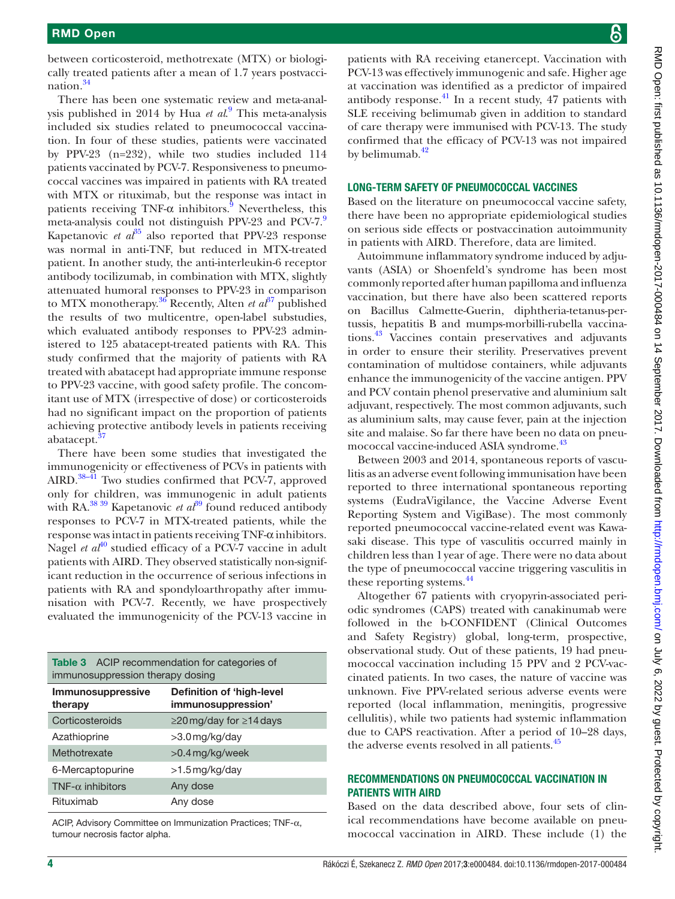between corticosteroid, methotrexate (MTX) or biologically treated patients after a mean of 1.7 years postvaccination[.34](#page-6-6)

There has been one systematic review and meta-analysis published in 2014 by Hua *et al*. [9](#page-5-15) This meta-analysis included six studies related to pneumococcal vaccination. In four of these studies, patients were vaccinated by PPV-23 (n=232), while two studies included 114 patients vaccinated by PCV-7. Responsiveness to pneumococcal vaccines was impaired in patients with RA treated with MTX or rituximab, but the response was intact in patients receiving TNF- $\alpha$  inhibitors.<sup>[9](#page-5-15)</sup> Nevertheless, this meta-analysis could not distinguish PPV-23 and PCV-7.[9](#page-5-15) Kapetanovic *et al*<sup>35</sup> also reported that PPV-23 response was normal in anti-TNF, but reduced in MTX-treated patient. In another study, the anti-interleukin-6 receptor antibody tocilizumab, in combination with MTX, slightly attenuated humoral responses to PPV-23 in comparison to MTX monotherapy.<sup>36</sup> Recently, Alten *et*  $a^{\beta7}$  published the results of two multicentre, open-label substudies, which evaluated antibody responses to PPV-23 administered to 125 abatacept-treated patients with RA. This study confirmed that the majority of patients with RA treated with abatacept had appropriate immune response to PPV-23 vaccine, with good safety profile. The concomitant use of MTX (irrespective of dose) or corticosteroids had no significant impact on the proportion of patients achieving protective antibody levels in patients receiving abatacept.<sup>3</sup>

There have been some studies that investigated the immunogenicity or effectiveness of PCVs in patients with AIRD. $38-41$  Two studies confirmed that PCV-7, approved only for children, was immunogenic in adult patients with RA.<sup>38 39</sup> Kapetanovic *et al*<sup>39</sup> found reduced antibody responses to PCV-7 in MTX-treated patients, while the response was intact in patients receiving  $TNF-\alpha$  inhibitors. Nagel *et al*<sup>40</sup> studied efficacy of a PCV-7 vaccine in adult patients with AIRD. They observed statistically non-significant reduction in the occurrence of serious infections in patients with RA and spondyloarthropathy after immunisation with PCV-7. Recently, we have prospectively evaluated the immunogenicity of the PCV-13 vaccine in

<span id="page-3-0"></span>

| <b>Table 3</b> ACIP recommendation for categories of<br>immunosuppression therapy dosing |                                                        |  |  |  |  |
|------------------------------------------------------------------------------------------|--------------------------------------------------------|--|--|--|--|
| Immunosuppressive<br>therapy                                                             | <b>Definition of 'high-level</b><br>immunosuppression' |  |  |  |  |
| Corticosteroids                                                                          | $\geq$ 20 mg/day for $\geq$ 14 days                    |  |  |  |  |
| Azathioprine                                                                             | >3.0 mg/kg/day                                         |  |  |  |  |
| Methotrexate                                                                             | >0.4 mg/kg/week                                        |  |  |  |  |
| 6-Mercaptopurine                                                                         | >1.5 mg/kg/day                                         |  |  |  |  |
| TNF- $\alpha$ inhibitors                                                                 | Any dose                                               |  |  |  |  |
| Rituximab                                                                                | Any dose                                               |  |  |  |  |

ACIP, Advisory Committee on Immunization Practices; TNF-α, tumour necrosis factor alpha.

patients with RA receiving etanercept. Vaccination with PCV-13 was effectively immunogenic and safe. Higher age at vaccination was identified as a predictor of impaired antibody response. $41$  In a recent study, 47 patients with SLE receiving belimumab given in addition to standard of care therapy were immunised with PCV-13. The study confirmed that the efficacy of PCV-13 was not impaired by belimumab. $42$ 

#### Long-term safety of pneumococcal vaccines

Based on the literature on pneumococcal vaccine safety, there have been no appropriate epidemiological studies on serious side effects or postvaccination autoimmunity in patients with AIRD. Therefore, data are limited.

Autoimmune inflammatory syndrome induced by adjuvants (ASIA) or Shoenfeld's syndrome has been most commonly reported after human papilloma and influenza vaccination, but there have also been scattered reports on Bacillus Calmette-Guerin, diphtheria-tetanus-pertussis, hepatitis B and mumps-morbilli-rubella vaccinations.[43](#page-6-15) Vaccines contain preservatives and adjuvants in order to ensure their sterility. Preservatives prevent contamination of multidose containers, while adjuvants enhance the immunogenicity of the vaccine antigen. PPV and PCV contain phenol preservative and aluminium salt adjuvant, respectively. The most common adjuvants, such as aluminium salts, may cause fever, pain at the injection site and malaise. So far there have been no data on pneumococcal vaccine-induced ASIA syndrome.<sup>43</sup>

Between 2003 and 2014, spontaneous reports of vasculitis as an adverse event following immunisation have been reported to three international spontaneous reporting systems (EudraVigilance, the Vaccine Adverse Event Reporting System and VigiBase). The most commonly reported pneumococcal vaccine-related event was Kawasaki disease. This type of vasculitis occurred mainly in children less than 1year of age. There were no data about the type of pneumococcal vaccine triggering vasculitis in these reporting systems.<sup>[44](#page-6-16)</sup>

Altogether 67 patients with cryopyrin-associated periodic syndromes (CAPS) treated with canakinumab were followed in the b-CONFIDENT (Clinical Outcomes and Safety Registry) global, long-term, prospective, observational study. Out of these patients, 19 had pneumococcal vaccination including 15 PPV and 2 PCV-vaccinated patients. In two cases, the nature of vaccine was unknown. Five PPV-related serious adverse events were reported (local inflammation, meningitis, progressive cellulitis), while two patients had systemic inflammation due to CAPS reactivation. After a period of 10–28 days, the adverse events resolved in all patients.<sup>45</sup>

#### Recommendations on pneumococcal vaccination in patients with AIRD

Based on the data described above, four sets of clinical recommendations have become available on pneumococcal vaccination in AIRD. These include (1) the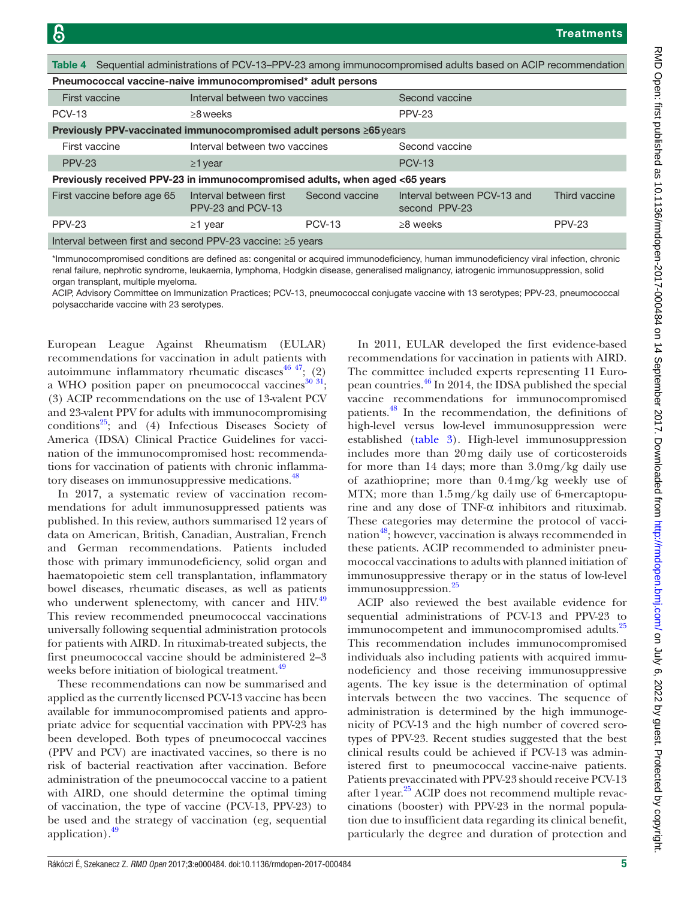<span id="page-4-0"></span>

| Table 4 Sequential administrations of PCV-13-PPV-23 among immunocompromised adults based on ACIP recommendation |                                             |                |                                              |               |  |  |  |
|-----------------------------------------------------------------------------------------------------------------|---------------------------------------------|----------------|----------------------------------------------|---------------|--|--|--|
| Pneumococcal vaccine-naive immunocompromised* adult persons                                                     |                                             |                |                                              |               |  |  |  |
| First vaccine                                                                                                   | Interval between two vaccines               |                | Second vaccine                               |               |  |  |  |
| <b>PCV-13</b>                                                                                                   | $\geq$ 8 weeks                              |                | PPV-23                                       |               |  |  |  |
| <b>Previously PPV-vaccinated immunocompromised adult persons ≥65 years</b>                                      |                                             |                |                                              |               |  |  |  |
| First vaccine                                                                                                   | Interval between two vaccines               |                | Second vaccine                               |               |  |  |  |
| <b>PPV-23</b>                                                                                                   | $\geq$ 1 year                               |                | <b>PCV-13</b>                                |               |  |  |  |
| Previously received PPV-23 in immunocompromised adults, when aged <65 years                                     |                                             |                |                                              |               |  |  |  |
| First vaccine before age 65                                                                                     | Interval between first<br>PPV-23 and PCV-13 | Second vaccine | Interval between PCV-13 and<br>second PPV-23 | Third vaccine |  |  |  |
| PPV-23                                                                                                          | $\geq$ 1 year                               | <b>PCV-13</b>  | $\geq$ 8 weeks                               | PPV-23        |  |  |  |
| Interval between first and second PPV-23 vaccine: ≥5 years                                                      |                                             |                |                                              |               |  |  |  |

\*Immunocompromised conditions are defined as: congenital or acquired immunodeficiency, human immunodeficiency viral infection, chronic renal failure, nephrotic syndrome, leukaemia, lymphoma, Hodgkin disease, generalised malignancy, iatrogenic immunosuppression, solid organ transplant, multiple myeloma.

ACIP, Advisory Committee on Immunization Practices; PCV-13, pneumococcal conjugate vaccine with 13 serotypes; PPV-23, pneumococcal polysaccharide vaccine with 23 serotypes.

European League Against Rheumatism (EULAR) recommendations for vaccination in adult patients with autoimmune inflammatory rheumatic diseases $4647$ ; (2) a WHO position paper on pneumococcal vaccines<sup>[30 31](#page-6-19)</sup>; (3) ACIP recommendations on the use of 13-valent PCV and 23-valent PPV for adults with immunocompromising conditions $^{25}$ ; and (4) Infectious Diseases Society of America (IDSA) Clinical Practice Guidelines for vaccination of the immunocompromised host: recommendations for vaccination of patients with chronic inflammatory diseases on immunosuppressive medications.<sup>48</sup>

In 2017, a systematic review of vaccination recommendations for adult immunosuppressed patients was published. In this review, authors summarised 12 years of data on American, British, Canadian, Australian, French and German recommendations. Patients included those with primary immunodeficiency, solid organ and haematopoietic stem cell transplantation, inflammatory bowel diseases, rheumatic diseases, as well as patients who underwent splenectomy, with cancer and HIV.<sup>49</sup> This review recommended pneumococcal vaccinations universally following sequential administration protocols for patients with AIRD. In rituximab-treated subjects, the first pneumococcal vaccine should be administered 2–3 weeks before initiation of biological treatment.<sup>[49](#page-6-22)</sup>

These recommendations can now be summarised and applied as the currently licensed PCV-13 vaccine has been available for immunocompromised patients and appropriate advice for sequential vaccination with PPV-23 has been developed. Both types of pneumococcal vaccines (PPV and PCV) are inactivated vaccines, so there is no risk of bacterial reactivation after vaccination. Before administration of the pneumococcal vaccine to a patient with AIRD, one should determine the optimal timing of vaccination, the type of vaccine (PCV-13, PPV-23) to be used and the strategy of vaccination (eg, sequential application). $49$ 

In 2011, EULAR developed the first evidence-based recommendations for vaccination in patients with AIRD. The committee included experts representing 11 European countries.[46](#page-6-18) In 2014, the IDSA published the special vaccine recommendations for immunocompromised patients.[48](#page-6-21) In the recommendation, the definitions of high-level versus low-level immunosuppression were established [\(table](#page-3-0) 3). High-level immunosuppression includes more than 20mg daily use of corticosteroids for more than 14 days; more than 3.0mg/kg daily use of azathioprine; more than 0.4mg/kg weekly use of MTX; more than 1.5mg/kg daily use of 6-mercaptopurine and any dose of TNF-α inhibitors and rituximab. These categories may determine the protocol of vaccination<sup>48</sup>; however, vaccination is always recommended in these patients. ACIP recommended to administer pneumococcal vaccinations to adults with planned initiation of immunosuppressive therapy or in the status of low-level immunosuppression.<sup>25</sup>

ACIP also reviewed the best available evidence for sequential administrations of PCV-13 and PPV-23 to immunocompetent and immunocompromised adults.<sup>25</sup> This recommendation includes immunocompromised individuals also including patients with acquired immunodeficiency and those receiving immunosuppressive agents. The key issue is the determination of optimal intervals between the two vaccines. The sequence of administration is determined by the high immunogenicity of PCV-13 and the high number of covered serotypes of PPV-23. Recent studies suggested that the best clinical results could be achieved if PCV-13 was administered first to pneumococcal vaccine-naive patients. Patients prevaccinated with PPV-23 should receive PCV-13 after 1 year.<sup>[25](#page-6-20)</sup> ACIP does not recommend multiple revaccinations (booster) with PPV-23 in the normal population due to insufficient data regarding its clinical benefit, particularly the degree and duration of protection and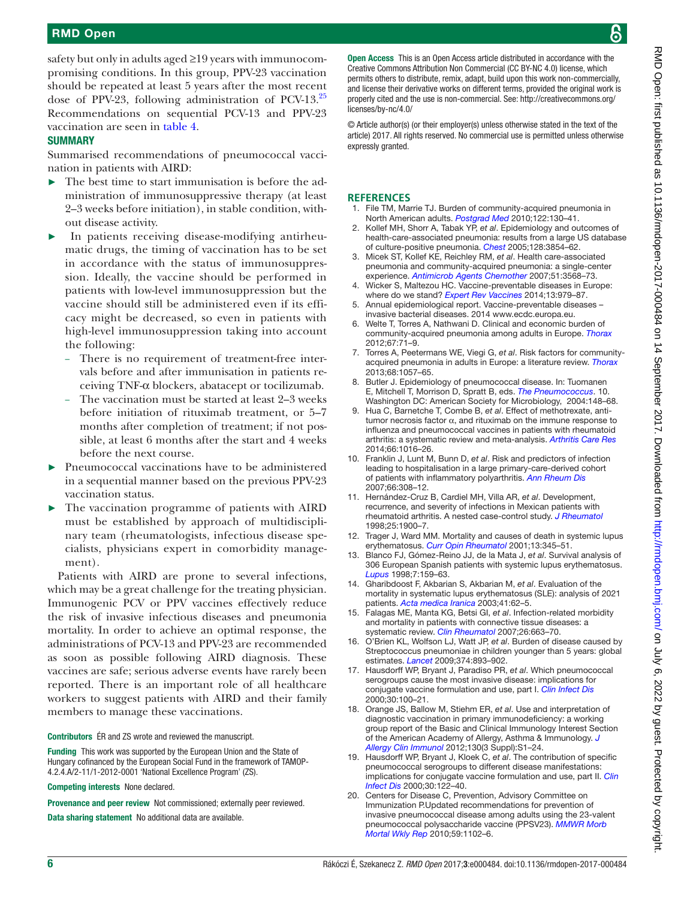## RMD Open

safety but only in adults aged ≥19 years with immunocompromising conditions. In this group, PPV-23 vaccination should be repeated at least 5 years after the most recent dose of PPV-23, following administration of PCV-13[.25](#page-6-20) Recommendations on sequential PCV-13 and PPV-23 vaccination are seen in [table](#page-4-0) 4.

#### **SUMMARY**

Summarised recommendations of pneumococcal vaccination in patients with AIRD:

- $\blacktriangleright$  The best time to start immunisation is before the administration of immunosuppressive therapy (at least 2–3 weeks before initiation), in stable condition, without disease activity.
- In patients receiving disease-modifying antirheumatic drugs, the timing of vaccination has to be set in accordance with the status of immunosuppression. Ideally, the vaccine should be performed in patients with low-level immunosuppression but the vaccine should still be administered even if its efficacy might be decreased, so even in patients with high-level immunosuppression taking into account the following:
	- There is no requirement of treatment-free intervals before and after immunisation in patients receiving TNF-α blockers, abatacept or tocilizumab.
	- The vaccination must be started at least 2–3 weeks before initiation of rituximab treatment, or 5–7 months after completion of treatment; if not possible, at least 6 months after the start and 4 weeks before the next course.
- Pneumococcal vaccinations have to be administered in a sequential manner based on the previous PPV-23 vaccination status.
- The vaccination programme of patients with AIRD must be established by approach of multidisciplinary team (rheumatologists, infectious disease specialists, physicians expert in comorbidity management).

Patients with AIRD are prone to several infections, which may be a great challenge for the treating physician. Immunogenic PCV or PPV vaccines effectively reduce the risk of invasive infectious diseases and pneumonia mortality. In order to achieve an optimal response, the administrations of PCV-13 and PPV-23 are recommended as soon as possible following AIRD diagnosis. These vaccines are safe; serious adverse events have rarely been reported. There is an important role of all healthcare workers to suggest patients with AIRD and their family members to manage these vaccinations.

Contributors ÉR and ZS wrote and reviewed the manuscript.

Funding This work was supported by the European Union and the State of Hungary cofinanced by the European Social Fund in the framework of TAMOP-4.2.4.A/2-11/1-2012-0001 'National Excellence Program' (ZS).

Competing interests None declared.

Provenance and peer review Not commissioned; externally peer reviewed.

Data sharing statement No additional data are available.

Open Access This is an Open Access article distributed in accordance with the Creative Commons Attribution Non Commercial (CC BY-NC 4.0) license, which permits others to distribute, remix, adapt, build upon this work non-commercially, and license their derivative works on different terms, provided the original work is properly cited and the use is non-commercial. See: [http://creativecommons.org/](http://creativecommons.org/licenses/by-nc/4.0/) [licenses/by-nc/4.0/](http://creativecommons.org/licenses/by-nc/4.0/)

© Article author(s) (or their employer(s) unless otherwise stated in the text of the article) 2017. All rights reserved. No commercial use is permitted unless otherwise expressly granted.

#### **References**

- <span id="page-5-0"></span>1. File TM, Marrie TJ. Burden of community-acquired pneumonia in North American adults. *[Postgrad Med](http://dx.doi.org/10.3810/pgm.2010.03.2130)* 2010;122:130–41.
- <span id="page-5-1"></span>2. Kollef MH, Shorr A, Tabak YP, *et al*. Epidemiology and outcomes of health-care-associated pneumonia: results from a large US database of culture-positive pneumonia. *[Chest](http://dx.doi.org/10.1378/chest.128.6.3854)* 2005;128:3854–62.
- 3. Micek ST, Kollef KE, Reichley RM, *et al*. Health care-associated pneumonia and community-acquired pneumonia: a single-center experience. *[Antimicrob Agents Chemother](http://dx.doi.org/10.1128/AAC.00851-07)* 2007;51:3568–73.
- <span id="page-5-2"></span>4. Wicker S, Maltezou HC. Vaccine-preventable diseases in Europe: where do we stand? *[Expert Rev Vaccines](http://dx.doi.org/10.1586/14760584.2014.933077)* 2014;13:979–87.
- <span id="page-5-3"></span>5. Annual epidemiological report. Vaccine-preventable diseases – invasive bacterial diseases. 2014 [www.ecdc.europa.eu.](www.ecdc.europa.eu)
- <span id="page-5-4"></span>Welte T, Torres A, Nathwani D. Clinical and economic burden of community-acquired pneumonia among adults in Europe. *[Thorax](http://dx.doi.org/10.1136/thx.2009.129502)* 2012;67:71–9.
- <span id="page-5-5"></span>7. Torres A, Peetermans WE, Viegi G, *et al*. Risk factors for communityacquired pneumonia in adults in Europe: a literature review. *[Thorax](http://dx.doi.org/10.1136/thoraxjnl-2013-204282)* 2013;68:1057–65.
- <span id="page-5-6"></span>8. Butler J. Epidemiology of pneumococcal disease. In: Tuomanen E, Mitchell T, Morrison D, Spratt B, eds. *The Pneumococcus*. 10. Washington DC: American Society for Microbiology, 2004:148–68.
- <span id="page-5-15"></span>9. Hua C, Barnetche T, Combe B, *et al*. Effect of methotrexate, antitumor necrosis factor α, and rituximab on the immune response to influenza and pneumococcal vaccines in patients with rheumatoid arthritis: a systematic review and meta-analysis. *[Arthritis Care Res](http://dx.doi.org/10.1002/acr.22246)* 2014;66:1016–26.
- <span id="page-5-7"></span>10. Franklin J, Lunt M, Bunn D, *et al*. Risk and predictors of infection leading to hospitalisation in a large primary-care-derived cohort of patients with inflammatory polyarthritis. *[Ann Rheum Dis](http://dx.doi.org/10.1136/ard.2006.057265)* 2007;66:308–12.
- 11. Hernández-Cruz B, Cardiel MH, Villa AR, *et al*. Development, recurrence, and severity of infections in Mexican patients with rheumatoid arthritis. A nested case-control study. *J Rheumatol* 1998;25:1900–7.
- <span id="page-5-8"></span>12. Trager J, Ward MM. Mortality and causes of death in systemic lupus erythematosus. *[Curr Opin Rheumatol](http://dx.doi.org/10.1097/00002281-200109000-00002)* 2001;13:345–51.
- 13. Blanco FJ, Gómez-Reino JJ, de la Mata J, *et al*. Survival analysis of 306 European Spanish patients with systemic lupus erythematosus. *[Lupus](http://dx.doi.org/10.1191/096120398678919930)* 1998;7:159–63.
- <span id="page-5-9"></span>14. Gharibdoost F, Akbarian S, Akbarian M, *et al*. Evaluation of the mortality in systematic lupus erythematosus (SLE): analysis of 2021 patients. *Acta medica Iranica* 2003;41:62–5.
- <span id="page-5-10"></span>15. Falagas ME, Manta KG, Betsi GI, *et al*. Infection-related morbidity and mortality in patients with connective tissue diseases: a systematic review. *[Clin Rheumatol](http://dx.doi.org/10.1007/s10067-006-0441-9)* 2007;26:663–70.
- <span id="page-5-11"></span>16. O'Brien KL, Wolfson LJ, Watt JP, *et al*. Burden of disease caused by Streptococcus pneumoniae in children younger than 5 years: global estimates. *[Lancet](http://dx.doi.org/10.1016/S0140-6736(09)61204-6)* 2009;374:893–902.
- <span id="page-5-12"></span>17. Hausdorff WP, Bryant J, Paradiso PR, *et al*. Which pneumococcal serogroups cause the most invasive disease: implications for conjugate vaccine formulation and use, part I. *[Clin Infect Dis](http://dx.doi.org/10.1086/313608)* 2000;30:100–21.
- <span id="page-5-13"></span>18. Orange JS, Ballow M, Stiehm ER, *et al*. Use and interpretation of diagnostic vaccination in primary immunodeficiency: a working group report of the Basic and Clinical Immunology Interest Section of the American Academy of Allergy, Asthma & Immunology. *[J](http://dx.doi.org/10.1016/j.jaci.2012.07.002)  [Allergy Clin Immunol](http://dx.doi.org/10.1016/j.jaci.2012.07.002)* 2012;130(3 Suppl):S1–24.
- 19. Hausdorff WP, Bryant J, Kloek C, *et al*. The contribution of specific pneumococcal serogroups to different disease manifestations: implications for conjugate vaccine formulation and use, part II. *[Clin](http://dx.doi.org/10.1086/313609)  [Infect Dis](http://dx.doi.org/10.1086/313609)* 2000;30:122–40.
- <span id="page-5-14"></span>20. Centers for Disease C, Prevention, Advisory Committee on Immunization P.Updated recommendations for prevention of invasive pneumococcal disease among adults using the 23-valent pneumococcal polysaccharide vaccine (PPSV23). *MMWR Morb Mortal Wkly Rep* 2010;59:1102–6.